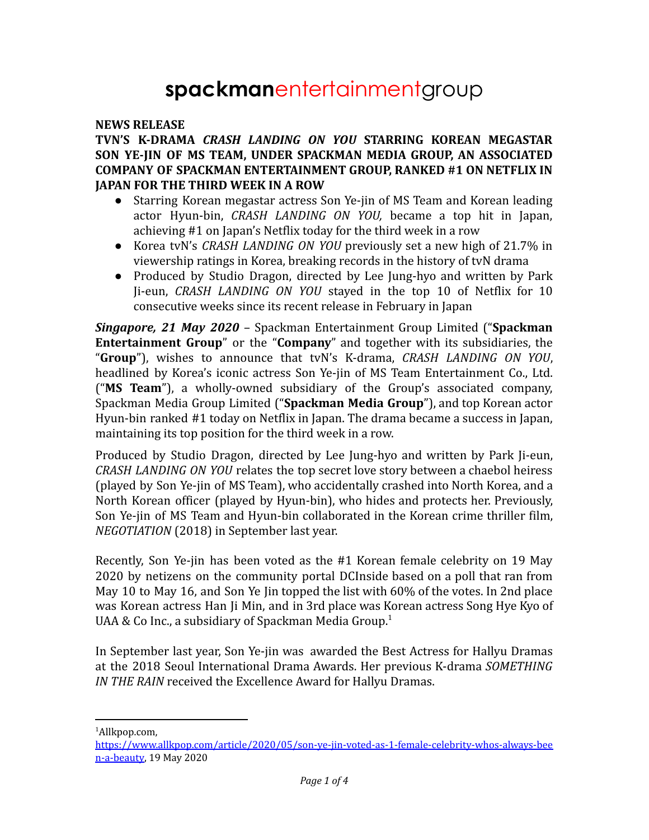# **spackman**entertainmentgroup

#### **NEWS RELEASE**

### **TVN'S K-DRAMA** *CRASH LANDING ON YOU* **STARRING KOREAN MEGASTAR SON YE-JIN OF MS TEAM, UNDER SPACKMAN MEDIA GROUP, AN ASSOCIATED COMPANY OF SPACKMAN ENTERTAINMENT GROUP, RANKED #1 ON NETFLIX IN JAPAN FOR THE THIRD WEEK IN A ROW**

- *●* Starring Korean megastar actress Son Ye-jin of MS Team and Korean leading actor Hyun-bin, *CRASH LANDING ON YOU,* became a top hit in Japan, achieving #1 on Japan's Netflix today for the third week in a row
- *●* Korea tvN's *CRASH LANDING ON YOU* previously set a new high of 21.7% in viewership ratings in Korea, breaking records in the history of tvN drama
- *●* Produced by Studio Dragon, directed by Lee Jung-hyo and written by Park Ji-eun, *CRASH LANDING ON YOU* stayed in the top 10 of Netflix for 10 consecutive weeks since its recent release in February in Japan

*Singapore, 21 May 2020* – Spackman Entertainment Group Limited ("**Spackman Entertainment Group**" or the "**Company**" and together with its subsidiaries, the "**Group**"), wishes to announce that tvN's K-drama, *CRASH LANDING ON YOU*, headlined by Korea's iconic actress Son Ye-jin of MS Team Entertainment Co., Ltd. ("**MS Team**"), a wholly-owned subsidiary of the Group's associated company, Spackman Media Group Limited ("**Spackman Media Group**"), and top Korean actor Hyun-bin ranked #1 today on Netflix in Japan. The drama became a success in Japan, maintaining its top position for the third week in a row.

Produced by Studio Dragon, directed by Lee Jung-hyo and written by Park Ji-eun, *CRASH LANDING ON YOU* relates the top secret love story between a chaebol heiress (played by Son Ye-jin of MS Team), who accidentally crashed into North Korea, and a North Korean officer (played by Hyun-bin), who hides and protects her. Previously, Son Ye-jin of MS Team and Hyun-bin collaborated in the Korean crime thriller film, *NEGOTIATION* (2018) in September last year.

Recently, Son Ye-jin has been voted as the #1 Korean female celebrity on 19 May 2020 by netizens on the community portal DCInside based on a poll that ran from May 10 to May 16, and Son Ye Jin topped the list with 60% of the votes. In 2nd place was Korean actress Han Ji Min, and in 3rd place was Korean actress Song Hye Kyo of UAA & Co Inc., a subsidiary of Spackman Media Group.<sup>1</sup>

In September last year, Son Ye-jin was awarded the Best Actress for Hallyu Dramas at the 2018 Seoul International Drama Awards. Her previous K-drama *SOMETHING IN THE RAIN* received the Excellence Award for Hallyu Dramas.

<sup>1</sup>Allkpop.com,

[https://www.allkpop.com/article/2020/05/son-ye-jin-voted-as-1-female-celebrity-whos-always-bee](https://www.allkpop.com/article/2020/05/son-ye-jin-voted-as-1-female-celebrity-whos-always-been-a-beauty) [n-a-beauty](https://www.allkpop.com/article/2020/05/son-ye-jin-voted-as-1-female-celebrity-whos-always-been-a-beauty), 19 May 2020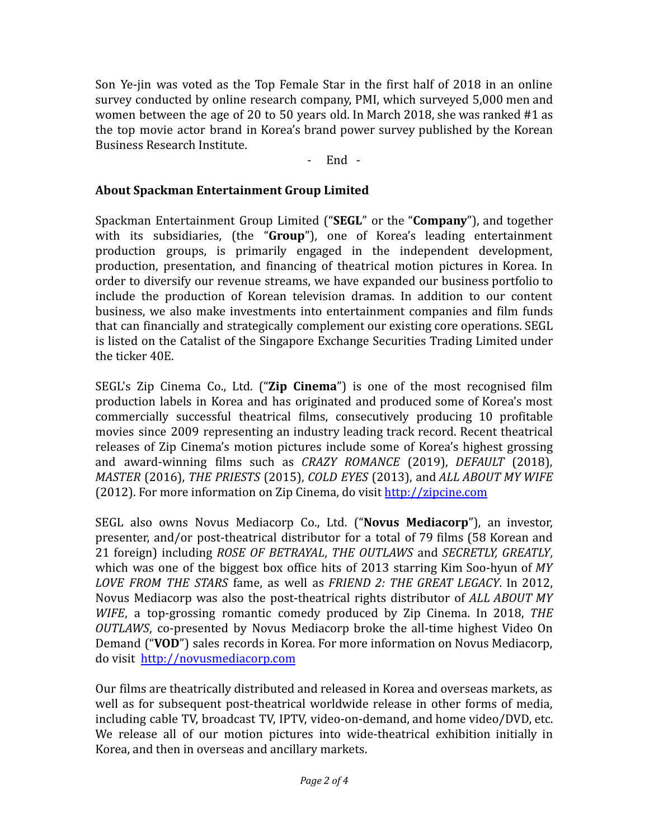Son Ye-jin was voted as the Top Female Star in the first half of 2018 in an online survey conducted by online research company, PMI, which surveyed 5,000 men and women between the age of 20 to 50 years old. In March 2018, she was ranked #1 as the top movie actor brand in Korea's brand power survey published by the Korean Business Research Institute.

- End -

## **About Spackman Entertainment Group Limited**

Spackman Entertainment Group Limited ("**SEGL**" or the "**Company**"), and together with its subsidiaries, (the "**Group**"), one of Korea's leading entertainment production groups, is primarily engaged in the independent development, production, presentation, and financing of theatrical motion pictures in Korea. In order to diversify our revenue streams, we have expanded our business portfolio to include the production of Korean television dramas. In addition to our content business, we also make investments into entertainment companies and film funds that can financially and strategically complement our existing core operations. SEGL is listed on the Catalist of the Singapore Exchange Securities Trading Limited under the ticker 40E.

SEGL's Zip Cinema Co., Ltd. ("**Zip Cinema**") is one of the most recognised film production labels in Korea and has originated and produced some of Korea's most commercially successful theatrical films, consecutively producing 10 profitable movies since 2009 representing an industry leading track record. Recent theatrical releases of Zip Cinema's motion pictures include some of Korea's highest grossing and award-winning films such as *CRAZY ROMANCE* (2019), *DEFAULT* (2018), *MASTER* (2016), *THE PRIESTS* (2015), *COLD EYES* (2013), and *ALL ABOUT MY WIFE* (2012). For more information on Zip Cinema, do visit <http://zipcine.com>

SEGL also owns Novus Mediacorp Co., Ltd. ("**Novus Mediacorp**"), an investor, presenter, and/or post-theatrical distributor for a total of 79 films (58 Korean and 21 foreign) including *ROSE OF BETRAYAL*, *THE OUTLAWS* and *SECRETLY, GREATLY*, which was one of the biggest box office hits of 2013 starring Kim Soo-hyun of *MY LOVE FROM THE STARS* fame, as well as *FRIEND 2: THE GREAT LEGACY*. In 2012, Novus Mediacorp was also the post-theatrical rights distributor of *ALL ABOUT MY WIFE*, a top-grossing romantic comedy produced by Zip Cinema. In 2018, *THE OUTLAWS*, co-presented by Novus Mediacorp broke the all-time highest Video On Demand ("**VOD**") sales records in Korea. For more information on Novus Mediacorp, do visit <http://novusmediacorp.com>

Our films are theatrically distributed and released in Korea and overseas markets, as well as for subsequent post-theatrical worldwide release in other forms of media, including cable TV, broadcast TV, IPTV, video-on-demand, and home video/DVD, etc. We release all of our motion pictures into wide-theatrical exhibition initially in Korea, and then in overseas and ancillary markets.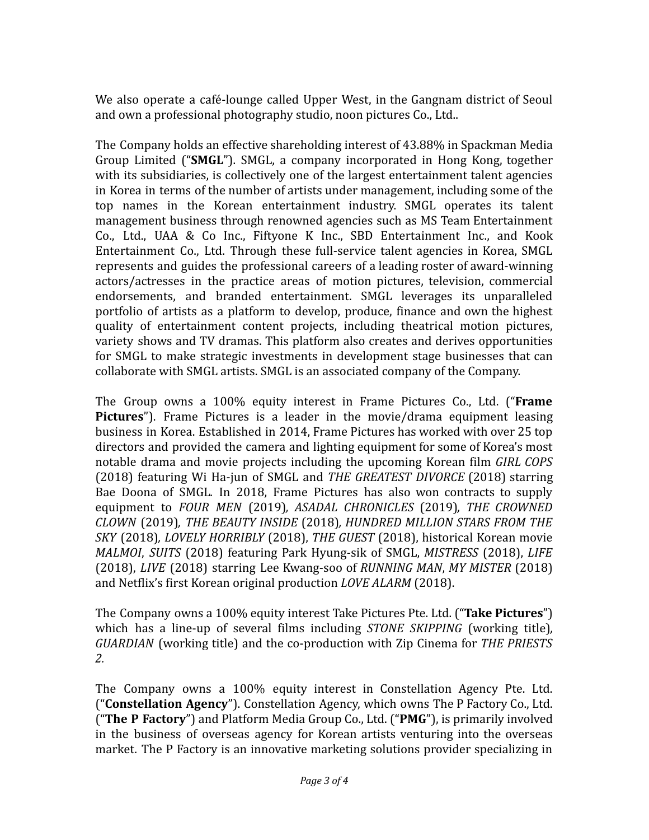We also operate a café-lounge called Upper West, in the Gangnam district of Seoul and own a professional photography studio, noon pictures Co., Ltd..

The Company holds an effective shareholding interest of 43.88% in Spackman Media Group Limited ("**SMGL**"). SMGL, a company incorporated in Hong Kong, together with its subsidiaries, is collectively one of the largest entertainment talent agencies in Korea in terms of the number of artists under management, including some of the top names in the Korean entertainment industry. SMGL operates its talent management business through renowned agencies such as MS Team Entertainment Co., Ltd., UAA & Co Inc., Fiftyone K Inc., SBD Entertainment Inc., and Kook Entertainment Co., Ltd. Through these full-service talent agencies in Korea, SMGL represents and guides the professional careers of a leading roster of award-winning actors/actresses in the practice areas of motion pictures, television, commercial endorsements, and branded entertainment. SMGL leverages its unparalleled portfolio of artists as a platform to develop, produce, finance and own the highest quality of entertainment content projects, including theatrical motion pictures, variety shows and TV dramas. This platform also creates and derives opportunities for SMGL to make strategic investments in development stage businesses that can collaborate with SMGL artists. SMGL is an associated company of the Company.

The Group owns a 100% equity interest in Frame Pictures Co., Ltd. ("**Frame Pictures**"). Frame Pictures is a leader in the movie/drama equipment leasing business in Korea. Established in 2014, Frame Pictures has worked with over 25 top directors and provided the camera and lighting equipment for some of Korea's most notable drama and movie projects including the upcoming Korean film *GIRL COPS* (2018) featuring Wi Ha-jun of SMGL and *THE GREATEST DIVORCE* (2018) starring Bae Doona of SMGL*.* In 2018, Frame Pictures has also won contracts to supply equipment to *FOUR MEN* (2019)*, ASADAL CHRONICLES* (2019)*, THE CROWNED CLOWN* (2019)*, THE BEAUTY INSIDE* (2018)*, HUNDRED MILLION STARS FROM THE SKY* (2018)*, LOVELY HORRIBLY* (2018), *THE GUEST* (2018), historical Korean movie *MALMOI*, *SUITS* (2018) featuring Park Hyung-sik of SMGL, *MISTRESS* (2018), *LIFE* (2018), *LIVE* (2018) starring Lee Kwang-soo of *RUNNING MAN*, *MY MISTER* (2018) and Netflix's first Korean original production *LOVE ALARM* (2018).

The Company owns a 100% equity interest Take Pictures Pte. Ltd. ("**Take Pictures**") which has a line-up of several films including *STONE SKIPPING* (working title)*, GUARDIAN* (working title) and the co-production with Zip Cinema for *THE PRIESTS 2.*

The Company owns a 100% equity interest in Constellation Agency Pte. Ltd. ("**Constellation Agency**"). Constellation Agency, which owns The P Factory Co., Ltd. ("**The P Factory**") and Platform Media Group Co., Ltd. ("**PMG**"), is primarily involved in the business of overseas agency for Korean artists venturing into the overseas market. The P Factory is an innovative marketing solutions provider specializing in